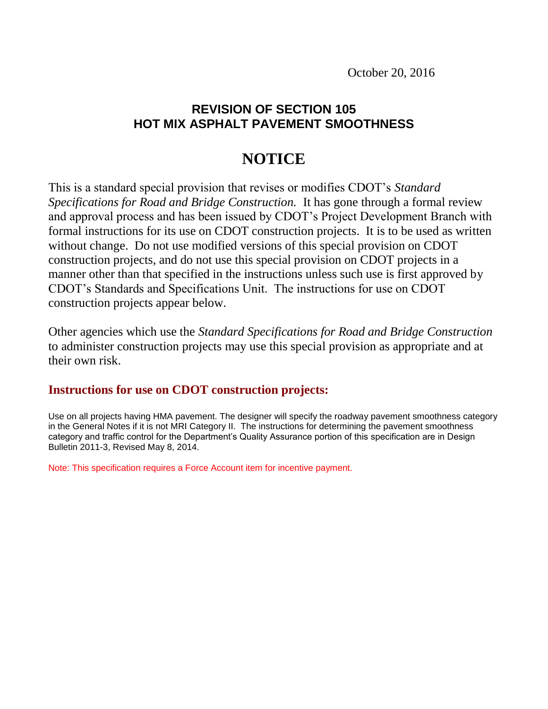October 20, 2016

# **REVISION OF SECTION 105 HOT MIX ASPHALT PAVEMENT SMOOTHNESS**

# **NOTICE**

This is a standard special provision that revises or modifies CDOT's *Standard Specifications for Road and Bridge Construction.* It has gone through a formal review and approval process and has been issued by CDOT's Project Development Branch with formal instructions for its use on CDOT construction projects. It is to be used as written without change. Do not use modified versions of this special provision on CDOT construction projects, and do not use this special provision on CDOT projects in a manner other than that specified in the instructions unless such use is first approved by CDOT's Standards and Specifications Unit. The instructions for use on CDOT construction projects appear below.

Other agencies which use the *Standard Specifications for Road and Bridge Construction* to administer construction projects may use this special provision as appropriate and at their own risk.

## **Instructions for use on CDOT construction projects:**

Use on all projects having HMA pavement. The designer will specify the roadway pavement smoothness category in the General Notes if it is not MRI Category II. The instructions for determining the pavement smoothness category and traffic control for the Department's Quality Assurance portion of this specification are in Design Bulletin 2011-3, Revised May 8, 2014.

Note: This specification requires a Force Account item for incentive payment.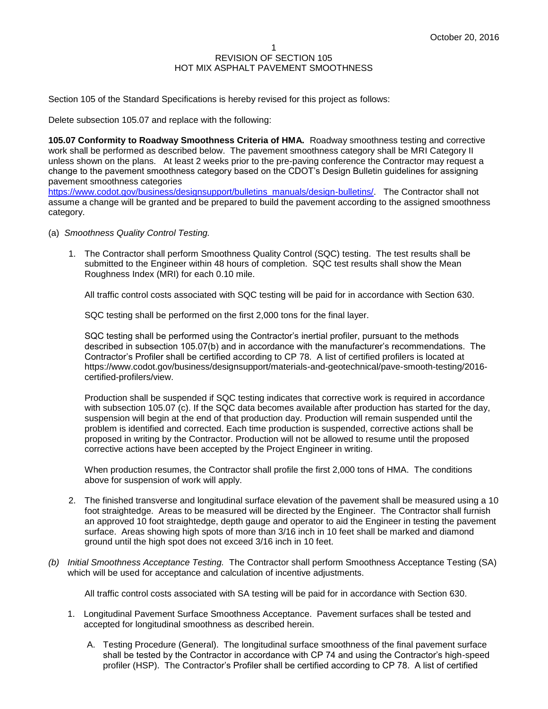Section 105 of the Standard Specifications is hereby revised for this project as follows:

Delete subsection 105.07 and replace with the following:

**105.07 Conformity to Roadway Smoothness Criteria of HMA.** Roadway smoothness testing and corrective work shall be performed as described below. The pavement smoothness category shall be MRI Category II unless shown on the plans. At least 2 weeks prior to the pre-paving conference the Contractor may request a change to the pavement smoothness category based on the CDOT's Design Bulletin guidelines for assigning pavement smoothness categories

[https://www.codot.gov/business/designsupport/bulletins\\_manuals/design-bulletins/.](https://www.codot.gov/business/designsupport/bulletins_manuals/design-bulletins/) The Contractor shall not assume a change will be granted and be prepared to build the pavement according to the assigned smoothness category.

- (a) *Smoothness Quality Control Testing.* 
	- 1. The Contractor shall perform Smoothness Quality Control (SQC) testing. The test results shall be submitted to the Engineer within 48 hours of completion. SQC test results shall show the Mean Roughness Index (MRI) for each 0.10 mile.

All traffic control costs associated with SQC testing will be paid for in accordance with Section 630.

SQC testing shall be performed on the first 2,000 tons for the final layer.

SQC testing shall be performed using the Contractor's inertial profiler, pursuant to the methods described in subsection 105.07(b) and in accordance with the manufacturer's recommendations. The Contractor's Profiler shall be certified according to CP 78. A list of certified profilers is located at https://www.codot.gov/business/designsupport/materials-and-geotechnical/pave-smooth-testing/2016 certified-profilers/view.

Production shall be suspended if SQC testing indicates that corrective work is required in accordance with subsection 105.07 (c). If the SQC data becomes available after production has started for the day, suspension will begin at the end of that production day. Production will remain suspended until the problem is identified and corrected. Each time production is suspended, corrective actions shall be proposed in writing by the Contractor. Production will not be allowed to resume until the proposed corrective actions have been accepted by the Project Engineer in writing.

When production resumes, the Contractor shall profile the first 2,000 tons of HMA. The conditions above for suspension of work will apply.

- 2. The finished transverse and longitudinal surface elevation of the pavement shall be measured using a 10 foot straightedge. Areas to be measured will be directed by the Engineer. The Contractor shall furnish an approved 10 foot straightedge, depth gauge and operator to aid the Engineer in testing the pavement surface. Areas showing high spots of more than 3/16 inch in 10 feet shall be marked and diamond ground until the high spot does not exceed 3/16 inch in 10 feet.
- *(b) Initial Smoothness Acceptance Testing.* The Contractor shall perform Smoothness Acceptance Testing (SA) which will be used for acceptance and calculation of incentive adjustments.

All traffic control costs associated with SA testing will be paid for in accordance with Section 630.

- 1. Longitudinal Pavement Surface Smoothness Acceptance. Pavement surfaces shall be tested and accepted for longitudinal smoothness as described herein.
	- A. Testing Procedure (General). The longitudinal surface smoothness of the final pavement surface shall be tested by the Contractor in accordance with CP 74 and using the Contractor's high-speed profiler (HSP). The Contractor's Profiler shall be certified according to CP 78. A list of certified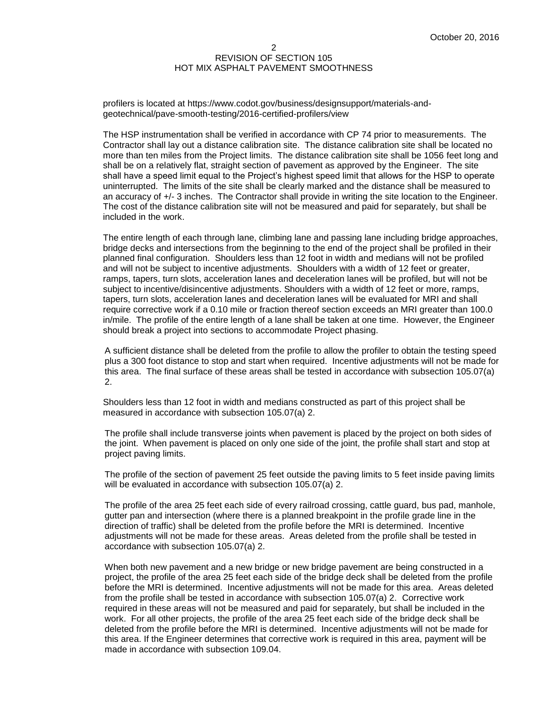#### 2 REVISION OF SECTION 105 HOT MIX ASPHALT PAVEMENT SMOOTHNESS

profilers is located at https://www.codot.gov/business/designsupport/materials-andgeotechnical/pave-smooth-testing/2016-certified-profilers/view

The HSP instrumentation shall be verified in accordance with CP 74 prior to measurements. The Contractor shall lay out a distance calibration site. The distance calibration site shall be located no more than ten miles from the Project limits. The distance calibration site shall be 1056 feet long and shall be on a relatively flat, straight section of pavement as approved by the Engineer. The site shall have a speed limit equal to the Project's highest speed limit that allows for the HSP to operate uninterrupted. The limits of the site shall be clearly marked and the distance shall be measured to an accuracy of +/- 3 inches. The Contractor shall provide in writing the site location to the Engineer. The cost of the distance calibration site will not be measured and paid for separately, but shall be included in the work.

The entire length of each through lane, climbing lane and passing lane including bridge approaches, bridge decks and intersections from the beginning to the end of the project shall be profiled in their planned final configuration. Shoulders less than 12 foot in width and medians will not be profiled and will not be subject to incentive adjustments. Shoulders with a width of 12 feet or greater, ramps, tapers, turn slots, acceleration lanes and deceleration lanes will be profiled, but will not be subject to incentive/disincentive adjustments. Shoulders with a width of 12 feet or more, ramps, tapers, turn slots, acceleration lanes and deceleration lanes will be evaluated for MRI and shall require corrective work if a 0.10 mile or fraction thereof section exceeds an MRI greater than 100.0 in/mile. The profile of the entire length of a lane shall be taken at one time. However, the Engineer should break a project into sections to accommodate Project phasing.

A sufficient distance shall be deleted from the profile to allow the profiler to obtain the testing speed plus a 300 foot distance to stop and start when required. Incentive adjustments will not be made for this area. The final surface of these areas shall be tested in accordance with subsection 105.07(a) 2.

Shoulders less than 12 foot in width and medians constructed as part of this project shall be measured in accordance with subsection 105.07(a) 2.

The profile shall include transverse joints when pavement is placed by the project on both sides of the joint. When pavement is placed on only one side of the joint, the profile shall start and stop at project paving limits.

The profile of the section of pavement 25 feet outside the paving limits to 5 feet inside paving limits will be evaluated in accordance with subsection 105.07(a) 2.

The profile of the area 25 feet each side of every railroad crossing, cattle guard, bus pad, manhole, gutter pan and intersection (where there is a planned breakpoint in the profile grade line in the direction of traffic) shall be deleted from the profile before the MRI is determined. Incentive adjustments will not be made for these areas. Areas deleted from the profile shall be tested in accordance with subsection 105.07(a) 2.

When both new pavement and a new bridge or new bridge pavement are being constructed in a project, the profile of the area 25 feet each side of the bridge deck shall be deleted from the profile before the MRI is determined. Incentive adjustments will not be made for this area. Areas deleted from the profile shall be tested in accordance with subsection 105.07(a) 2. Corrective work required in these areas will not be measured and paid for separately, but shall be included in the work. For all other projects, the profile of the area 25 feet each side of the bridge deck shall be deleted from the profile before the MRI is determined. Incentive adjustments will not be made for this area. If the Engineer determines that corrective work is required in this area, payment will be made in accordance with subsection 109.04.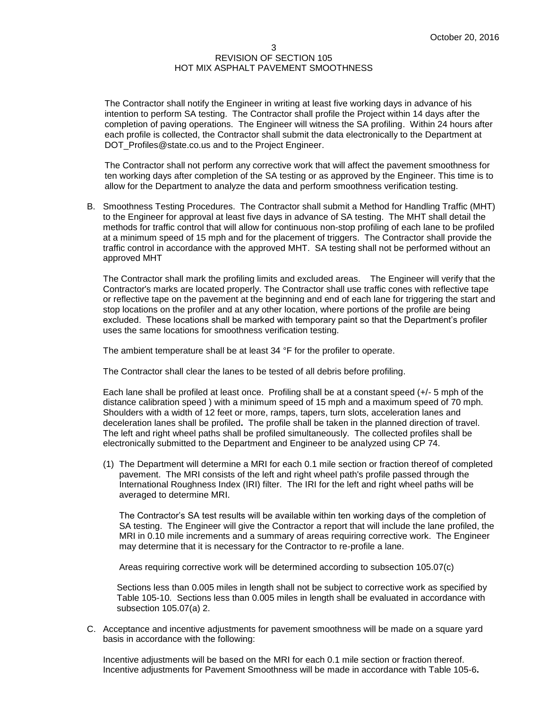#### 3 REVISION OF SECTION 105 HOT MIX ASPHALT PAVEMENT SMOOTHNESS

The Contractor shall notify the Engineer in writing at least five working days in advance of his intention to perform SA testing. The Contractor shall profile the Project within 14 days after the completion of paving operations. The Engineer will witness the SA profiling. Within 24 hours after each profile is collected, the Contractor shall submit the data electronically to the Department at DOT\_Profiles@state.co.us and to the Project Engineer.

The Contractor shall not perform any corrective work that will affect the pavement smoothness for ten working days after completion of the SA testing or as approved by the Engineer. This time is to allow for the Department to analyze the data and perform smoothness verification testing.

B. Smoothness Testing Procedures. The Contractor shall submit a Method for Handling Traffic (MHT) to the Engineer for approval at least five days in advance of SA testing. The MHT shall detail the methods for traffic control that will allow for continuous non-stop profiling of each lane to be profiled at a minimum speed of 15 mph and for the placement of triggers. The Contractor shall provide the traffic control in accordance with the approved MHT. SA testing shall not be performed without an approved MHT

The Contractor shall mark the profiling limits and excluded areas. The Engineer will verify that the Contractor's marks are located properly. The Contractor shall use traffic cones with reflective tape or reflective tape on the pavement at the beginning and end of each lane for triggering the start and stop locations on the profiler and at any other location, where portions of the profile are being excluded. These locations shall be marked with temporary paint so that the Department's profiler uses the same locations for smoothness verification testing.

The ambient temperature shall be at least 34 °F for the profiler to operate.

The Contractor shall clear the lanes to be tested of all debris before profiling.

Each lane shall be profiled at least once. Profiling shall be at a constant speed (+/- 5 mph of the distance calibration speed ) with a minimum speed of 15 mph and a maximum speed of 70 mph. Shoulders with a width of 12 feet or more, ramps, tapers, turn slots, acceleration lanes and deceleration lanes shall be profiled**.** The profile shall be taken in the planned direction of travel. The left and right wheel paths shall be profiled simultaneously. The collected profiles shall be electronically submitted to the Department and Engineer to be analyzed using CP 74.

(1) The Department will determine a MRI for each 0.1 mile section or fraction thereof of completed pavement. The MRI consists of the left and right wheel path's profile passed through the International Roughness Index (IRI) filter. The IRI for the left and right wheel paths will be averaged to determine MRI.

The Contractor's SA test results will be available within ten working days of the completion of SA testing. The Engineer will give the Contractor a report that will include the lane profiled, the MRI in 0.10 mile increments and a summary of areas requiring corrective work. The Engineer may determine that it is necessary for the Contractor to re-profile a lane.

Areas requiring corrective work will be determined according to subsection 105.07(c)

Sections less than 0.005 miles in length shall not be subject to corrective work as specified by Table 105-10. Sections less than 0.005 miles in length shall be evaluated in accordance with subsection 105.07(a) 2.

C. Acceptance and incentive adjustments for pavement smoothness will be made on a square yard basis in accordance with the following:

Incentive adjustments will be based on the MRI for each 0.1 mile section or fraction thereof. Incentive adjustments for Pavement Smoothness will be made in accordance with Table 105-6**.**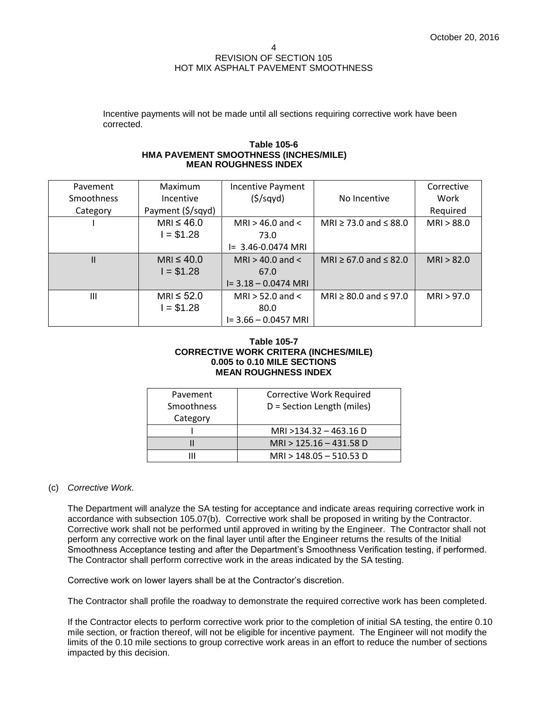#### 4 REVISION OF SECTION 105 HOT MIX ASPHALT PAVEMENT SMOOTHNESS

Incentive payments will not be made until all sections requiring corrective work have been corrected.

#### **Table 105-6 HMA PAVEMENT SMOOTHNESS (INCHES/MILE) MEAN ROUGHNESS INDEX**

| Pavement          | Maximum           | <b>Incentive Payment</b> |                                 | Corrective |
|-------------------|-------------------|--------------------------|---------------------------------|------------|
| <b>Smoothness</b> | Incentive         | (5/sqyd)                 | No Incentive                    | Work       |
| Category          | Payment (\$/sqyd) |                          |                                 | Required   |
|                   | MRI $\leq 46.0$   | MRI $>$ 46.0 and $<$     | MRI $\ge$ 73.0 and $\le$ 88.0   | MRI > 88.0 |
|                   | $I = $1.28$       | 73.0                     |                                 |            |
|                   |                   | $I = 3.46 - 0.0474$ MRI  |                                 |            |
| Ш                 | MRI $\leq 40.0$   | MRI $>$ 40.0 and $<$     | MRI $\ge$ 67.0 and $\le$ 82.0   | MRI > 82.0 |
|                   | $I = $1.28$       | 67.0                     |                                 |            |
|                   |                   | $I = 3.18 - 0.0474$ MRI  |                                 |            |
| Ш                 | $MRI \leq 52.0$   | MRI $>$ 52.0 and $<$     | MRI $\geq$ 80.0 and $\leq$ 97.0 | MRI > 97.0 |
|                   | $I = $1.28$       | 80.0                     |                                 |            |
|                   |                   | $I = 3.66 - 0.0457$ MRI  |                                 |            |

### **Table 105-7 CORRECTIVE WORK CRITERA (INCHES/MILE) 0.005 to 0.10 MILE SECTIONS MEAN ROUGHNESS INDEX**

| Pavement   | <b>Corrective Work Required</b> |  |
|------------|---------------------------------|--|
| Smoothness | D = Section Length (miles)      |  |
| Category   |                                 |  |
|            | MRI >134.32 - 463.16 D          |  |
|            | $MRI > 125.16 - 431.58 D$       |  |
|            | MRI > 148.05 - 510.53 D         |  |

## (c) *Corrective Work.*

The Department will analyze the SA testing for acceptance and indicate areas requiring corrective work in accordance with subsection 105.07(b). Corrective work shall be proposed in writing by the Contractor. Corrective work shall not be performed until approved in writing by the Engineer. The Contractor shall not perform any corrective work on the final layer until after the Engineer returns the results of the Initial Smoothness Acceptance testing and after the Department's Smoothness Verification testing, if performed. The Contractor shall perform corrective work in the areas indicated by the SA testing.

Corrective work on lower layers shall be at the Contractor's discretion.

The Contractor shall profile the roadway to demonstrate the required corrective work has been completed.

If the Contractor elects to perform corrective work prior to the completion of initial SA testing, the entire 0.10 mile section, or fraction thereof, will not be eligible for incentive payment. The Engineer will not modify the limits of the 0.10 mile sections to group corrective work areas in an effort to reduce the number of sections impacted by this decision.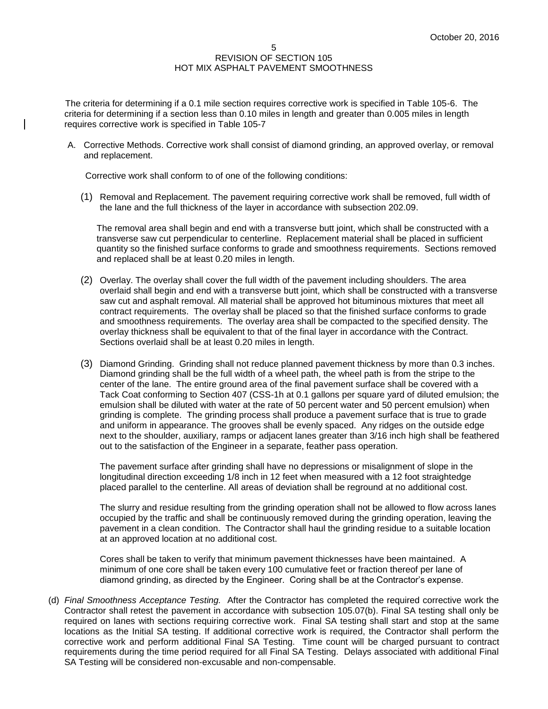The criteria for determining if a 0.1 mile section requires corrective work is specified in Table 105-6. The criteria for determining if a section less than 0.10 miles in length and greater than 0.005 miles in length requires corrective work is specified in Table 105-7

A. Corrective Methods. Corrective work shall consist of diamond grinding, an approved overlay, or removal and replacement.

Corrective work shall conform to of one of the following conditions:

(1) Removal and Replacement. The pavement requiring corrective work shall be removed, full width of the lane and the full thickness of the layer in accordance with subsection 202.09.

The removal area shall begin and end with a transverse butt joint, which shall be constructed with a transverse saw cut perpendicular to centerline. Replacement material shall be placed in sufficient quantity so the finished surface conforms to grade and smoothness requirements. Sections removed and replaced shall be at least 0.20 miles in length.

- (2) Overlay. The overlay shall cover the full width of the pavement including shoulders. The area overlaid shall begin and end with a transverse butt joint, which shall be constructed with a transverse saw cut and asphalt removal. All material shall be approved hot bituminous mixtures that meet all contract requirements. The overlay shall be placed so that the finished surface conforms to grade and smoothness requirements. The overlay area shall be compacted to the specified density. The overlay thickness shall be equivalent to that of the final layer in accordance with the Contract. Sections overlaid shall be at least 0.20 miles in length.
- (3) Diamond Grinding. Grinding shall not reduce planned pavement thickness by more than 0.3 inches. Diamond grinding shall be the full width of a wheel path, the wheel path is from the stripe to the center of the lane. The entire ground area of the final pavement surface shall be covered with a Tack Coat conforming to Section 407 (CSS-1h at 0.1 gallons per square yard of diluted emulsion; the emulsion shall be diluted with water at the rate of 50 percent water and 50 percent emulsion) when grinding is complete. The grinding process shall produce a pavement surface that is true to grade and uniform in appearance. The grooves shall be evenly spaced. Any ridges on the outside edge next to the shoulder, auxiliary, ramps or adjacent lanes greater than 3/16 inch high shall be feathered out to the satisfaction of the Engineer in a separate, feather pass operation.

The pavement surface after grinding shall have no depressions or misalignment of slope in the longitudinal direction exceeding 1/8 inch in 12 feet when measured with a 12 foot straightedge placed parallel to the centerline. All areas of deviation shall be reground at no additional cost.

The slurry and residue resulting from the grinding operation shall not be allowed to flow across lanes occupied by the traffic and shall be continuously removed during the grinding operation, leaving the pavement in a clean condition. The Contractor shall haul the grinding residue to a suitable location at an approved location at no additional cost.

Cores shall be taken to verify that minimum pavement thicknesses have been maintained. A minimum of one core shall be taken every 100 cumulative feet or fraction thereof per lane of diamond grinding, as directed by the Engineer. Coring shall be at the Contractor's expense.

(d) *Final Smoothness Acceptance Testing.* After the Contractor has completed the required corrective work the Contractor shall retest the pavement in accordance with subsection 105.07(b). Final SA testing shall only be required on lanes with sections requiring corrective work. Final SA testing shall start and stop at the same locations as the Initial SA testing. If additional corrective work is required, the Contractor shall perform the corrective work and perform additional Final SA Testing. Time count will be charged pursuant to contract requirements during the time period required for all Final SA Testing. Delays associated with additional Final SA Testing will be considered non-excusable and non-compensable.